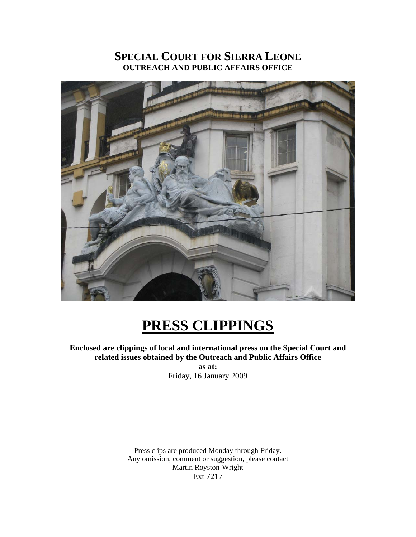## **SPECIAL COURT FOR SIERRA LEONE OUTREACH AND PUBLIC AFFAIRS OFFICE**



## **PRESS CLIPPINGS**

**Enclosed are clippings of local and international press on the Special Court and related issues obtained by the Outreach and Public Affairs Office as at:** 

Friday, 16 January 2009

Press clips are produced Monday through Friday. Any omission, comment or suggestion, please contact Martin Royston-Wright Ext 7217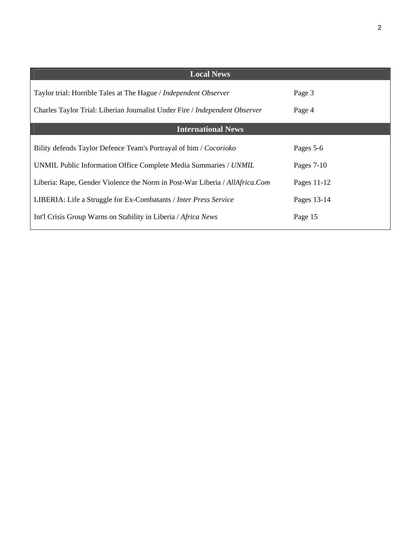| <b>Local News</b>                                                           |              |
|-----------------------------------------------------------------------------|--------------|
| Taylor trial: Horrible Tales at The Hague / <i>Independent Observer</i>     | Page 3       |
| Charles Taylor Trial: Liberian Journalist Under Fire / Independent Observer | Page 4       |
| <b>International News</b>                                                   |              |
| Bility defends Taylor Defence Team's Portrayal of him / Cocorioko           | Pages 5-6    |
| UNMIL Public Information Office Complete Media Summaries / UNMIL            | Pages $7-10$ |
| Liberia: Rape, Gender Violence the Norm in Post-War Liberia / AllAfrica.Com | Pages 11-12  |
| LIBERIA: Life a Struggle for Ex-Combatants / Inter Press Service            | Pages 13-14  |
| Int'l Crisis Group Warns on Stability in Liberia / Africa News              | Page 15      |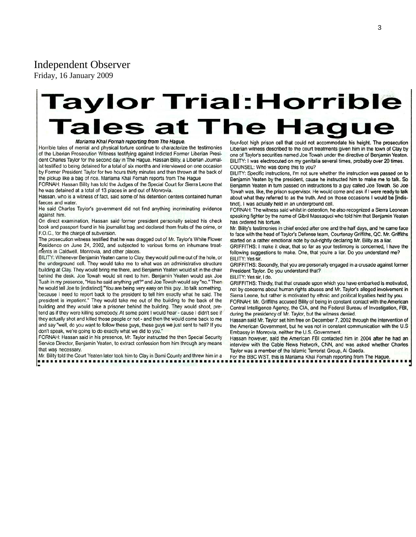#### Independent Observer

Friday, 16 January 2009

# **Taylor Trial: Horrible** ales at The Hage

#### Mariama Khai Fornah reporting from The Hague.

Horrible tales of mental and physical torture continue to characterize the testimonies of the Liberian Prosecution Witness testifying against Indicted Former Liberian President Charles Taylor for the second day in The Hague. Hassan Bility, a Liberian Journalist testified to being detained for a total of six months and interviewed on one occasion by Former President Taylor for two hours thirty minutes and then thrown at the back of the pickup like a bag of rice. Mariama Khai Fornah reports from The Hague

FORNAH: Hassan Bility has told the Judges of the Special Court for Sierra Leone that he was detained at a total of 13 places in and out of Monrovia.

Hassan, who is a witness of fact, said some of his detention centers contained human faeces and water.

He said Charles Taylor's government did not find anything incriminating evidence against him.

On direct examination, Hassan said former president personally seized his check book and passport found in his journalist bag and declared them fruits of the crime, or F.O.C., for the charge of subversion.

The prosecution witness testified that he was dragged out of Mr. Taylor's White Flower Residence on June 24, 2002, and subjected to various forms on inhumane treatments in Caldwell, Monrovia, and other places.

BILITY: Whenever Benjamin Yeaten came to Clay, they would pull me out of the hole, or the underground cell. They would take me to what was an administrative structure building at Clay. They would bring me there, and Benjamin Yeaten would sit in the chair behind the desk. Joe Towah would sit next to him. Benjamin Yeaten would ask Joe Tuah in my presence, "Has he said anything yet?" and Joe Towah would say "no." Then he would tell Joe to [indistinct] "You are being very easy on this guy...to talk something, because I need to report back to the president to tell him exactly what he said. The president is impatient." They would take me out of the building to the back of the building and they would take a prisoner behind the building. They would shoot, pretend as if they were killing somebody. At some point I would hear - cause I didn't see if they actually shot and killed those people or not - and then the would come back to me and say "well, do you want to follow these guys, these guys we just sent to hell? If you don't speak, we're going to do exactly what we did to you."

FORNAH: Hassan said in his presence, Mr. Taylor instructed the then Special Security Service Director, Benjamin Yeaten, to extract confession from him through any means that was necessary.

Mr. Bility told the Court Yeaten later took him to Clay in Bomi County and threw him in a

four-foot high prison cell that could not accommodate his height. The prosecution Liberian witness described to the court treatments given him in the town of Clay by one of Taylor's securities named Joe Towah under the directive of Benjamin Yeaten. BILITY: I was electrocuted on my genitalia several times, probably over 20 times. COUNSEL: Who was doing this to you?

BILITY: Specific instructions, I'm not sure whether the instruction was passed on to Benjamin Yeaten by the president, cause he instructed him to make me to talk. So Benjamin Yeaten in turn passed on instructions to a guy called Joe Towah. So Joe Towah was, like, the prison supervisor. He would come and ask if I were ready to talk about what they referred to as the truth. And on those occasions I would be [indistinct]. I was actually held in an underground cell.

FORNAH: The witness said whilst in detention, he also recognized a Sierra Leonean speaking fighter by the name of Gibril Massaquoi who told him that Benjamin Yeaten has ordered his torture.

Mr. Bility's testimonies in chief ended after one and the half days, and he came face to face with the head of Taylor's Defense team, Courtenay Griffiths, QC. Mr. Griffiths started on a rather emotional note by out-rightly declaring Mr. Bility as a liar.

GRIFFITHS: I make it clear, that so far as your testimony is concerned, I have the following suggestions to make. One, that you're a liar. Do you understand me? BILITY: Yes sir.

GRIFFITHS: Secondly, that you are personally engaged in a crusade against former President Taylor. Do you understand that?

BILITY: Yes sir, I do.

GRIFFITHS: Thirdly, that that crusade upon which you have embarked is motivated, not by concerns about human rights abuses and Mr. Taylor's alleged involvement in Sierra Leone, but rather is motivated by ethnic and political loyalties held by you. FORNAH: Mr. Griffiths accused Bility of being in constant contact with the American

Central Intelligence Agency, the CIA, and the Federal Bureau of Investigation, FBI, during the presidency of Mr. Taylor, but the witness denied.

Hassan said Mr. Taylor set him free on December 7, 2002 through the intervention of the American Government, but he was not in constant communication with the U.S Embassy in Monrovia, neither the U.S. Government.

Hassan however, said the American FBI contacted him in 2004 after he had an interview with the Cable News Network, CNN, and was asked whether Charles Taylor was a member of the Islamic Terrorist Group, Al Qaeda.

For the BBC WST, this is Mariama Khai Fornah reporting from The Hague.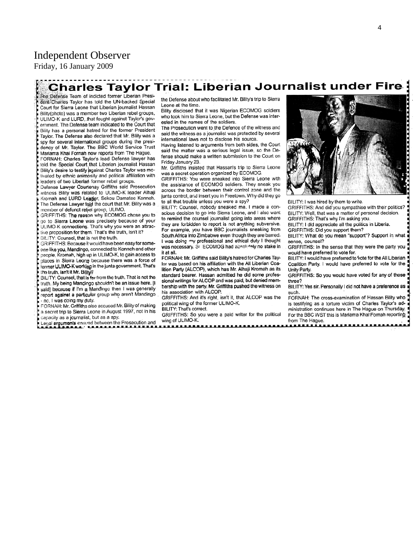## Independent Observer

Friday, 16 January 2009

## **Charles Taylor Trial: Liberian Journalist under Fire**

The Defense Team of indicted former Liberian President Charles Taylor has told the UN-backed Special Court for Sierra Leone that Liberian journalist Hassan Bility(photo) was a member two Liberian rebel groups, ULIMO-K and LURD, that fought against Taylor's government. The Defense team indicated to the Court that Bility has a personal hatred for the former President Taylor. The Defense also declared that Mr. Bility was a spy for several international groups during the presidency of Mr. Taylor. The BBC World Service Trust Mariama Khai Fornah now reports from The Hague.

FORNAH: Charles Taylor's lead Defense lawyer has told the Special Court that Liberian journalist Hassan Bility's desire to testify against Charles Taylor was motivated by ethnic animosity and political affiliation with leaders of two Liberian former rebel groups.

Defense Lawyer Courtenay Griffiths said Prosecution witness Bility was related to ULIMO-K leader Alhaji Kromah and LURD Leader, Sekou Damatee Konneh. The Defense Lawyer told the court that Mr. Bility was a member of defunct rebel group, ULIMO.

GRIFFITHS: The reason why ECOMOG chose you to go to Sierra Leone was precisely because of your ULIMO-K connections. That's why you were an attractive proposition for them. That's the truth, isn't it? BILITY: Counsel, that is not the truth.

GRIFFITHS: Because it would have been easy for someone like you, Mandingo, connected to Konneh and other people, Kromah, high up in ULIMO-K, to gain access to places in Sierra Leong because there was a force of former ULIMO-K working in the junta government. That's the truth, isn't it Mr. Billty?

BILITY: Counsel, that is far from the truth. That is not the truth. My being Mandingo shouldn't be an issue here. [I saidl because if I'm a Mandingo then I was generally report against a particular group who aren't Mandingo - no, I was doing my duty.

FORNAH: Mr. Griffiths also accused Mr. Bility of making a secret trip to Sierra Leone in August 1997, not in his capacity as a journalist, but as a spy.

Legal arguments ensued between the Prosecution and

the Defense about who facilitated Mr. Bility's trip to Sierra Leone at the time.

Bility disclosed that it was Nigerian ECOMOG soldiers who took him to Sierra Leone, but the Defense was interested in the names of the soldiers.

The Prosecution went to the Defence of the witness and said the witness as a journalist was protected by several international laws not to disclose his source.

Having listened to arguments from both sides, the Court said the matter was a serious legal issue, so the Defense should make a written submission to the Court on Friday January 23.

Mr. Griffiths insisted that Hassan's trip to Sierra Leone was a secret operation organized by ECOMOG.

GRIFFITHS: You were sneaked into Sierra Leone with the assistance of ECOMOG soldiers. They sneak you across the border between their control zone and the junta control, and insert you in Freetown. Why did they go to all that trouble unless you were a spy?

BILITY: Counsel, nobody sneaked me. I made a conscious decision to go into Sierra Leone, and I also want to remind the counsel journalist going into areas where they are forbidden to report is not anything subversive. For example, you have BBC journalists sneaking from South Africa into Zimbabwe even though they are barred. I was doing my professional and ethical duty I thought was necessary. Sr ECOMOG had absolutely no stake in it at all.

FORNAH: Mr. Griffiths said Bility's hatred for Charles Taylor was based on his affiliation with the All Liberian Coalition Party (ALCOP), which has Mr. Alhaji Kromah as its standard bearer. Hassan admitted he did some professional writings for ALCOP and was paid, but denied membership with the party. Mr. Griffiths pushed the witness on his association with ALCOP.

GRIFFITHS: And it's right, isn't it, that ALCOP was the political wing of the former ULIMO-K.

BILITY: That's correct.

GRIFFITHS: So you were a paid writer for the political wing of ULIMO-K.



BILITY: I was hired by them to write.

GRIFFITHS: And did you sympathise with their politics? BILITY: Well, that was a matter of personal decision. GRIFFITHS: That's why I'm asking you.

BILITY: I did appreciate all the politics in Liberia.

GRIFFITHS: Did you support them? BILITY: What do you mean "support"? Support in what

sense, counsel?

GRIFFITHS: In the sense that they were the party you would have preferred to vote for.

BILITY: I would have preferred to vote for the All Liberian Coalition Party. I would have preferred to vote for the Unity Party

GRIFFITHS: So you would have voted for any of those three?

BILITY: Yes sir. Personally I did not have a preference as such.

FORNAH: The cross-examination of Hassan Bility who is testifying as a torture victim of Charles Taylor's administration continues here in The Hague on Thursday. For the BBC WST this is Mariama Khai Fornah reporting from The Hague.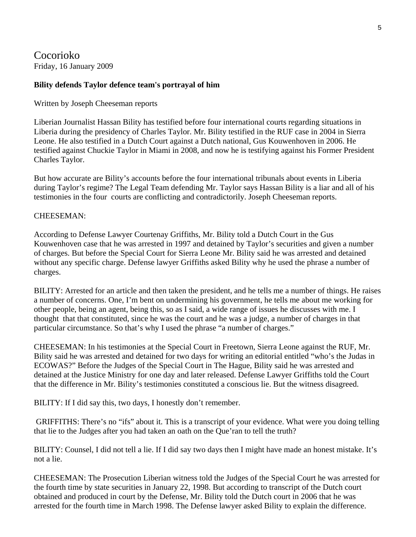Cocorioko Friday, 16 January 2009

#### **Bility defends Taylor defence team's portrayal of him**

Written by Joseph Cheeseman reports

Liberian Journalist Hassan Bility has testified before four international courts regarding situations in Liberia during the presidency of Charles Taylor. Mr. Bility testified in the RUF case in 2004 in Sierra Leone. He also testified in a Dutch Court against a Dutch national, Gus Kouwenhoven in 2006. He testified against Chuckie Taylor in Miami in 2008, and now he is testifying against his Former President Charles Taylor.

But how accurate are Bility's accounts before the four international tribunals about events in Liberia during Taylor's regime? The Legal Team defending Mr. Taylor says Hassan Bility is a liar and all of his testimonies in the four courts are conflicting and contradictorily. Joseph Cheeseman reports.

#### CHEESEMAN:

According to Defense Lawyer Courtenay Griffiths, Mr. Bility told a Dutch Court in the Gus Kouwenhoven case that he was arrested in 1997 and detained by Taylor's securities and given a number of charges. But before the Special Court for Sierra Leone Mr. Bility said he was arrested and detained without any specific charge. Defense lawyer Griffiths asked Bility why he used the phrase a number of charges.

BILITY: Arrested for an article and then taken the president, and he tells me a number of things. He raises a number of concerns. One, I'm bent on undermining his government, he tells me about me working for other people, being an agent, being this, so as I said, a wide range of issues he discusses with me. I thought that that constituted, since he was the court and he was a judge, a number of charges in that particular circumstance. So that's why I used the phrase "a number of charges."

CHEESEMAN: In his testimonies at the Special Court in Freetown, Sierra Leone against the RUF, Mr. Bility said he was arrested and detained for two days for writing an editorial entitled "who's the Judas in ECOWAS?" Before the Judges of the Special Court in The Hague, Bility said he was arrested and detained at the Justice Ministry for one day and later released. Defense Lawyer Griffiths told the Court that the difference in Mr. Bility's testimonies constituted a conscious lie. But the witness disagreed.

BILITY: If I did say this, two days, I honestly don't remember.

 GRIFFITHS: There's no "ifs" about it. This is a transcript of your evidence. What were you doing telling that lie to the Judges after you had taken an oath on the Que'ran to tell the truth?

BILITY: Counsel, I did not tell a lie. If I did say two days then I might have made an honest mistake. It's not a lie.

CHEESEMAN: The Prosecution Liberian witness told the Judges of the Special Court he was arrested for the fourth time by state securities in January 22, 1998. But according to transcript of the Dutch court obtained and produced in court by the Defense, Mr. Bility told the Dutch court in 2006 that he was arrested for the fourth time in March 1998. The Defense lawyer asked Bility to explain the difference.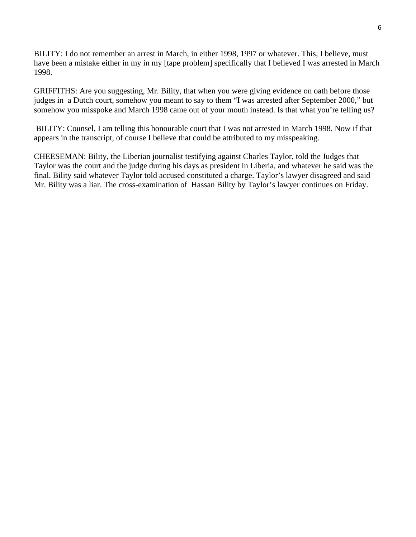BILITY: I do not remember an arrest in March, in either 1998, 1997 or whatever. This, I believe, must have been a mistake either in my in my [tape problem] specifically that I believed I was arrested in March 1998.

GRIFFITHS: Are you suggesting, Mr. Bility, that when you were giving evidence on oath before those judges in a Dutch court, somehow you meant to say to them "I was arrested after September 2000," but somehow you misspoke and March 1998 came out of your mouth instead. Is that what you're telling us?

 BILITY: Counsel, I am telling this honourable court that I was not arrested in March 1998. Now if that appears in the transcript, of course I believe that could be attributed to my misspeaking.

CHEESEMAN: Bility, the Liberian journalist testifying against Charles Taylor, told the Judges that Taylor was the court and the judge during his days as president in Liberia, and whatever he said was the final. Bility said whatever Taylor told accused constituted a charge. Taylor's lawyer disagreed and said Mr. Bility was a liar. The cross-examination of Hassan Bility by Taylor's lawyer continues on Friday.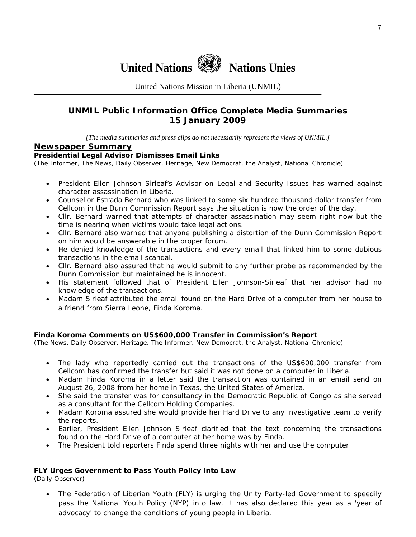

United Nations Mission in Liberia (UNMIL)

#### **UNMIL Public Information Office Complete Media Summaries 15 January 2009**

*[The media summaries and press clips do not necessarily represent the views of UNMIL.]* 

#### **Newspaper Summary**

#### **Presidential Legal Advisor Dismisses Email Links**

(The Informer, The News, Daily Observer, Heritage, New Democrat, the Analyst, National Chronicle)

- President Ellen Johnson Sirleaf's Advisor on Legal and Security Issues has warned against character assassination in Liberia.
- Counsellor Estrada Bernard who was linked to some six hundred thousand dollar transfer from Cellcom in the Dunn Commission Report says the situation is now the order of the day.
- Cllr. Bernard warned that attempts of character assassination may seem right now but the time is nearing when victims would take legal actions.
- Cllr. Bernard also warned that anyone publishing a distortion of the Dunn Commission Report on him would be answerable in the proper forum.
- He denied knowledge of the transactions and every email that linked him to some dubious transactions in the email scandal.
- Cllr. Bernard also assured that he would submit to any further probe as recommended by the Dunn Commission but maintained he is innocent.
- His statement followed that of President Ellen Johnson-Sirleaf that her advisor had no knowledge of the transactions.
- Madam Sirleaf attributed the email found on the Hard Drive of a computer from her house to a friend from Sierra Leone, Finda Koroma.

#### **Finda Koroma Comments on US\$600,000 Transfer in Commission's Report**

(The News, Daily Observer, Heritage, The Informer, New Democrat, the Analyst, National Chronicle)

- The lady who reportedly carried out the transactions of the US\$600,000 transfer from Cellcom has confirmed the transfer but said it was not done on a computer in Liberia.
- Madam Finda Koroma in a letter said the transaction was contained in an email send on August 26, 2008 from her home in Texas, the United States of America.
- She said the transfer was for consultancy in the Democratic Republic of Congo as she served as a consultant for the Cellcom Holding Companies.
- Madam Koroma assured she would provide her Hard Drive to any investigative team to verify the reports.
- Earlier, President Ellen Johnson Sirleaf clarified that the text concerning the transactions found on the Hard Drive of a computer at her home was by Finda.
- The President told reporters Finda spend three nights with her and use the computer

#### **FLY Urges Government to Pass Youth Policy into Law**

(Daily Observer)

• The Federation of Liberian Youth (FLY) is urging the Unity Party-led Government to speedily pass the National Youth Policy (NYP) into law. It has also declared this year as a 'year of advocacy' to change the conditions of young people in Liberia.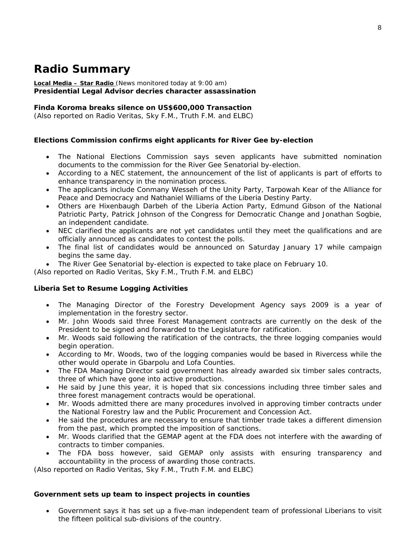## **Radio Summary**

#### **Local Media – Star Radio** *(News monitored today at 9:00 am)* **Presidential Legal Advisor decries character assassination**

#### **Finda Koroma breaks silence on US\$600,000 Transaction**

*(Also reported on Radio Veritas, Sky F.M., Truth F.M. and ELBC*)

#### **Elections Commission confirms eight applicants for River Gee by-election**

- The National Elections Commission says seven applicants have submitted nomination documents to the commission for the River Gee Senatorial by-election.
- According to a NEC statement, the announcement of the list of applicants is part of efforts to enhance transparency in the nomination process.
- The applicants include Conmany Wesseh of the Unity Party, Tarpowah Kear of the Alliance for Peace and Democracy and Nathaniel Williams of the Liberia Destiny Party.
- Others are Hixenbaugh Darbeh of the Liberia Action Party, Edmund Gibson of the National Patriotic Party, Patrick Johnson of the Congress for Democratic Change and Jonathan Sogbie, an independent candidate.
- NEC clarified the applicants are not yet candidates until they meet the qualifications and are officially announced as candidates to contest the polls.
- The final list of candidates would be announced on Saturday January 17 while campaign begins the same day.
- The River Gee Senatorial by-election is expected to take place on February 10.

*(Also reported on Radio Veritas, Sky F.M., Truth F.M. and ELBC*)

#### **Liberia Set to Resume Logging Activities**

- The Managing Director of the Forestry Development Agency says 2009 is a year of implementation in the forestry sector.
- Mr. John Woods said three Forest Management contracts are currently on the desk of the President to be signed and forwarded to the Legislature for ratification.
- Mr. Woods said following the ratification of the contracts, the three logging companies would begin operation.
- According to Mr. Woods, two of the logging companies would be based in Rivercess while the other would operate in Gbarpolu and Lofa Counties.
- The FDA Managing Director said government has already awarded six timber sales contracts, three of which have gone into active production.
- He said by June this year, it is hoped that six concessions including three timber sales and three forest management contracts would be operational.
- Mr. Woods admitted there are many procedures involved in approving timber contracts under the National Forestry law and the Public Procurement and Concession Act.
- He said the procedures are necessary to ensure that timber trade takes a different dimension from the past, which prompted the imposition of sanctions.
- Mr. Woods clarified that the GEMAP agent at the FDA does not interfere with the awarding of contracts to timber companies.
- The FDA boss however, said GEMAP only assists with ensuring transparency and accountability in the process of awarding those contracts.

*(Also reported on Radio Veritas, Sky F.M., Truth F.M. and ELBC*)

#### **Government sets up team to inspect projects in counties**

• Government says it has set up a five-man independent team of professional Liberians to visit the fifteen political sub-divisions of the country.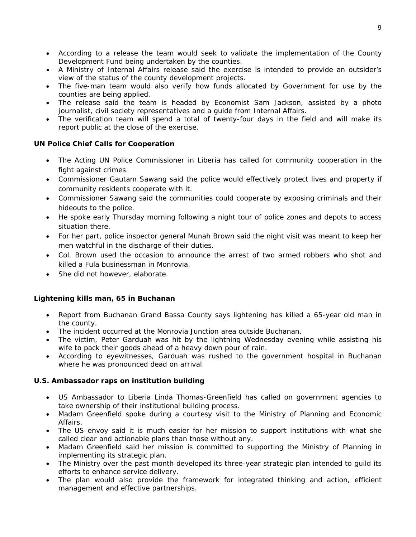- According to a release the team would seek to validate the implementation of the County Development Fund being undertaken by the counties.
- A Ministry of Internal Affairs release said the exercise is intended to provide an outsider's view of the status of the county development projects.
- The five-man team would also verify how funds allocated by Government for use by the counties are being applied.
- The release said the team is headed by Economist Sam Jackson, assisted by a photo journalist, civil society representatives and a guide from Internal Affairs.
- The verification team will spend a total of twenty-four days in the field and will make its report public at the close of the exercise.

#### **UN Police Chief Calls for Cooperation**

- The Acting UN Police Commissioner in Liberia has called for community cooperation in the fight against crimes.
- Commissioner Gautam Sawang said the police would effectively protect lives and property if community residents cooperate with it.
- Commissioner Sawang said the communities could cooperate by exposing criminals and their hideouts to the police.
- He spoke early Thursday morning following a night tour of police zones and depots to access situation there.
- For her part, police inspector general Munah Brown said the night visit was meant to keep her men watchful in the discharge of their duties.
- Col. Brown used the occasion to announce the arrest of two armed robbers who shot and killed a Fula businessman in Monrovia.
- She did not however, elaborate.

#### **Lightening kills man, 65 in Buchanan**

- Report from Buchanan Grand Bassa County says lightening has killed a 65-year old man in the county.
- The incident occurred at the Monrovia Junction area outside Buchanan.
- The victim, Peter Garduah was hit by the lightning Wednesday evening while assisting his wife to pack their goods ahead of a heavy down pour of rain.
- According to eyewitnesses, Garduah was rushed to the government hospital in Buchanan where he was pronounced dead on arrival.

#### **U.S. Ambassador raps on institution building**

- US Ambassador to Liberia Linda Thomas-Greenfield has called on government agencies to take ownership of their institutional building process.
- Madam Greenfield spoke during a courtesy visit to the Ministry of Planning and Economic Affairs.
- The US envoy said it is much easier for her mission to support institutions with what she called clear and actionable plans than those without any.
- Madam Greenfield said her mission is committed to supporting the Ministry of Planning in implementing its strategic plan.
- The Ministry over the past month developed its three-year strategic plan intended to guild its efforts to enhance service delivery.
- The plan would also provide the framework for integrated thinking and action, efficient management and effective partnerships.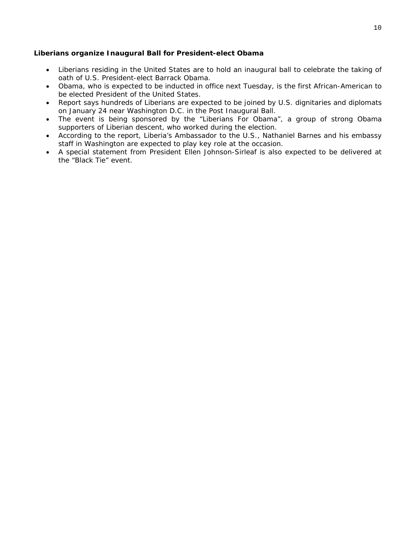#### **Liberians organize Inaugural Ball for President-elect Obama**

- Liberians residing in the United States are to hold an inaugural ball to celebrate the taking of oath of U.S. President-elect Barrack Obama.
- Obama, who is expected to be inducted in office next Tuesday, is the first African-American to be elected President of the United States.
- Report says hundreds of Liberians are expected to be joined by U.S. dignitaries and diplomats on January 24 near Washington D.C. in the Post Inaugural Ball.
- The event is being sponsored by the "Liberians For Obama", a group of strong Obama supporters of Liberian descent, who worked during the election.
- According to the report, Liberia's Ambassador to the U.S., Nathaniel Barnes and his embassy staff in Washington are expected to play key role at the occasion.
- A special statement from President Ellen Johnson-Sirleaf is also expected to be delivered at the "Black Tie" event.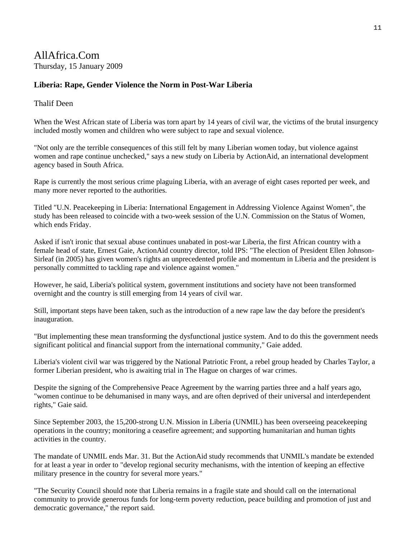### AllAfrica.Com Thursday, 15 January 2009

#### **Liberia: Rape, Gender Violence the Norm in Post-War Liberia**

#### Thalif Deen

When the West African state of Liberia was torn apart by 14 years of civil war, the victims of the brutal insurgency included mostly women and children who were subject to rape and sexual violence.

"Not only are the terrible consequences of this still felt by many Liberian women today, but violence against women and rape continue unchecked," says a new study on Liberia by ActionAid, an international development agency based in South Africa.

Rape is currently the most serious crime plaguing Liberia, with an average of eight cases reported per week, and many more never reported to the authorities.

Titled "U.N. Peacekeeping in Liberia: International Engagement in Addressing Violence Against Women", the study has been released to coincide with a two-week session of the U.N. Commission on the Status of Women, which ends Friday.

Asked if isn't ironic that sexual abuse continues unabated in post-war Liberia, the first African country with a female head of state, Ernest Gaie, ActionAid country director, told IPS: "The election of President Ellen Johnson-Sirleaf (in 2005) has given women's rights an unprecedented profile and momentum in Liberia and the president is personally committed to tackling rape and violence against women."

However, he said, Liberia's political system, government institutions and society have not been transformed overnight and the country is still emerging from 14 years of civil war.

Still, important steps have been taken, such as the introduction of a new rape law the day before the president's inauguration.

"But implementing these mean transforming the dysfunctional justice system. And to do this the government needs significant political and financial support from the international community," Gaie added.

Liberia's violent civil war was triggered by the National Patriotic Front, a rebel group headed by Charles Taylor, a former Liberian president, who is awaiting trial in The Hague on charges of war crimes.

Despite the signing of the Comprehensive Peace Agreement by the warring parties three and a half years ago, "women continue to be dehumanised in many ways, and are often deprived of their universal and interdependent rights," Gaie said.

Since September 2003, the 15,200-strong U.N. Mission in Liberia (UNMIL) has been overseeing peacekeeping operations in the country; monitoring a ceasefire agreement; and supporting humanitarian and human tights activities in the country.

The mandate of UNMIL ends Mar. 31. But the ActionAid study recommends that UNMIL's mandate be extended for at least a year in order to "develop regional security mechanisms, with the intention of keeping an effective military presence in the country for several more years."

"The Security Council should note that Liberia remains in a fragile state and should call on the international community to provide generous funds for long-term poverty reduction, peace building and promotion of just and democratic governance," the report said.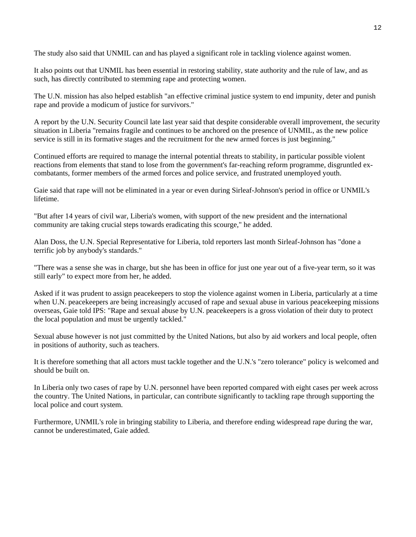The study also said that UNMIL can and has played a significant role in tackling violence against women.

It also points out that UNMIL has been essential in restoring stability, state authority and the rule of law, and as such, has directly contributed to stemming rape and protecting women.

The U.N. mission has also helped establish "an effective criminal justice system to end impunity, deter and punish rape and provide a modicum of justice for survivors."

A report by the U.N. Security Council late last year said that despite considerable overall improvement, the security situation in Liberia "remains fragile and continues to be anchored on the presence of UNMIL, as the new police service is still in its formative stages and the recruitment for the new armed forces is just beginning."

Continued efforts are required to manage the internal potential threats to stability, in particular possible violent reactions from elements that stand to lose from the government's far-reaching reform programme, disgruntled excombatants, former members of the armed forces and police service, and frustrated unemployed youth.

Gaie said that rape will not be eliminated in a year or even during Sirleaf-Johnson's period in office or UNMIL's lifetime.

"But after 14 years of civil war, Liberia's women, with support of the new president and the international community are taking crucial steps towards eradicating this scourge," he added.

Alan Doss, the U.N. Special Representative for Liberia, told reporters last month Sirleaf-Johnson has "done a terrific job by anybody's standards."

"There was a sense she was in charge, but she has been in office for just one year out of a five-year term, so it was still early" to expect more from her, he added.

Asked if it was prudent to assign peacekeepers to stop the violence against women in Liberia, particularly at a time when U.N. peacekeepers are being increasingly accused of rape and sexual abuse in various peacekeeping missions overseas, Gaie told IPS: "Rape and sexual abuse by U.N. peacekeepers is a gross violation of their duty to protect the local population and must be urgently tackled."

Sexual abuse however is not just committed by the United Nations, but also by aid workers and local people, often in positions of authority, such as teachers.

It is therefore something that all actors must tackle together and the U.N.'s "zero tolerance" policy is welcomed and should be built on.

In Liberia only two cases of rape by U.N. personnel have been reported compared with eight cases per week across the country. The United Nations, in particular, can contribute significantly to tackling rape through supporting the local police and court system.

Furthermore, UNMIL's role in bringing stability to Liberia, and therefore ending widespread rape during the war, cannot be underestimated, Gaie added.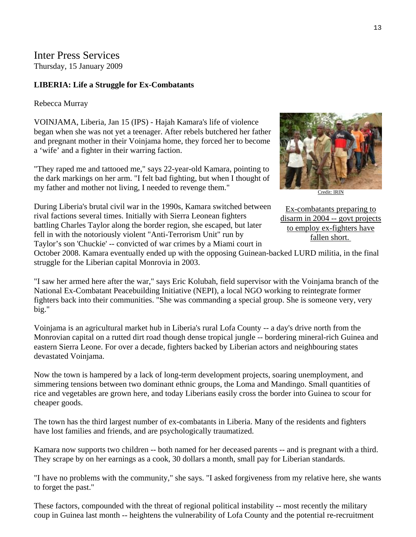Inter Press Services Thursday, 15 January 2009

#### **LIBERIA: Life a Struggle for Ex-Combatants**

#### Rebecca Murray

VOINJAMA, Liberia, Jan 15 (IPS) - Hajah Kamara's life of violence began when she was not yet a teenager. After rebels butchered her father and pregnant mother in their Voinjama home, they forced her to become a 'wife' and a fighter in their warring faction.

"They raped me and tattooed me," says 22-year-old Kamara, pointing to the dark markings on her arm. "I felt bad fighting, but when I thought of my father and mother not living, I needed to revenge them."

[Credit: IRIN](http://www.ipsnews.net/africa/nota.asp?idnews=45431) 

During Liberia's brutal civil war in the 1990s, Kamara switched between rival factions several times. Initially with Sierra Leonean fighters battling Charles Taylor along the border region, she escaped, but later fell in with the notoriously violent "Anti-Terrorism Unit" run by Taylor's son 'Chuckie' -- convicted of war crimes by a Miami court in Ex-combatants preparing to disarm in 2004 -- govt projects to employ ex-fighters have fallen short.

October 2008. Kamara eventually ended up with the opposing Guinean-backed LURD militia, in the final struggle for the Liberian capital Monrovia in 2003.

"I saw her armed here after the war," says Eric Kolubah, field supervisor with the Voinjama branch of the National Ex-Combatant Peacebuilding Initiative (NEPI), a local NGO working to reintegrate former fighters back into their communities. "She was commanding a special group. She is someone very, very big."

Voinjama is an agricultural market hub in Liberia's rural Lofa County -- a day's drive north from the Monrovian capital on a rutted dirt road though dense tropical jungle -- bordering mineral-rich Guinea and eastern Sierra Leone. For over a decade, fighters backed by Liberian actors and neighbouring states devastated Voinjama.

Now the town is hampered by a lack of long-term development projects, soaring unemployment, and simmering tensions between two dominant ethnic groups, the Loma and Mandingo. Small quantities of rice and vegetables are grown here, and today Liberians easily cross the border into Guinea to scour for cheaper goods.

The town has the third largest number of ex-combatants in Liberia. Many of the residents and fighters have lost families and friends, and are psychologically traumatized.

Kamara now supports two children -- both named for her deceased parents -- and is pregnant with a third. They scrape by on her earnings as a cook, 30 dollars a month, small pay for Liberian standards.

"I have no problems with the community," she says. "I asked forgiveness from my relative here, she wants to forget the past."

These factors, compounded with the threat of regional political instability -- most recently the military coup in Guinea last month -- heightens the vulnerability of Lofa County and the potential re-recruitment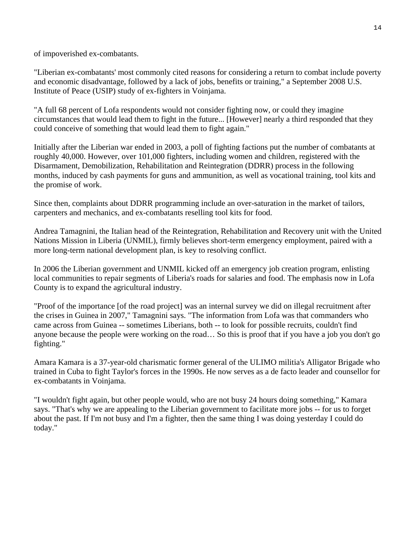of impoverished ex-combatants.

"Liberian ex-combatants' most commonly cited reasons for considering a return to combat include poverty and economic disadvantage, followed by a lack of jobs, benefits or training," a September 2008 U.S. Institute of Peace (USIP) study of ex-fighters in Voinjama.

"A full 68 percent of Lofa respondents would not consider fighting now, or could they imagine circumstances that would lead them to fight in the future... [However] nearly a third responded that they could conceive of something that would lead them to fight again."

Initially after the Liberian war ended in 2003, a poll of fighting factions put the number of combatants at roughly 40,000. However, over 101,000 fighters, including women and children, registered with the Disarmament, Demobilization, Rehabilitation and Reintegration (DDRR) process in the following months, induced by cash payments for guns and ammunition, as well as vocational training, tool kits and the promise of work.

Since then, complaints about DDRR programming include an over-saturation in the market of tailors, carpenters and mechanics, and ex-combatants reselling tool kits for food.

Andrea Tamagnini, the Italian head of the Reintegration, Rehabilitation and Recovery unit with the United Nations Mission in Liberia (UNMIL), firmly believes short-term emergency employment, paired with a more long-term national development plan, is key to resolving conflict.

In 2006 the Liberian government and UNMIL kicked off an emergency job creation program, enlisting local communities to repair segments of Liberia's roads for salaries and food. The emphasis now in Lofa County is to expand the agricultural industry.

"Proof of the importance [of the road project] was an internal survey we did on illegal recruitment after the crises in Guinea in 2007," Tamagnini says. "The information from Lofa was that commanders who came across from Guinea -- sometimes Liberians, both -- to look for possible recruits, couldn't find anyone because the people were working on the road… So this is proof that if you have a job you don't go fighting."

Amara Kamara is a 37-year-old charismatic former general of the ULIMO militia's Alligator Brigade who trained in Cuba to fight Taylor's forces in the 1990s. He now serves as a de facto leader and counsellor for ex-combatants in Voinjama.

"I wouldn't fight again, but other people would, who are not busy 24 hours doing something," Kamara says. "That's why we are appealing to the Liberian government to facilitate more jobs -- for us to forget about the past. If I'm not busy and I'm a fighter, then the same thing I was doing yesterday I could do today."